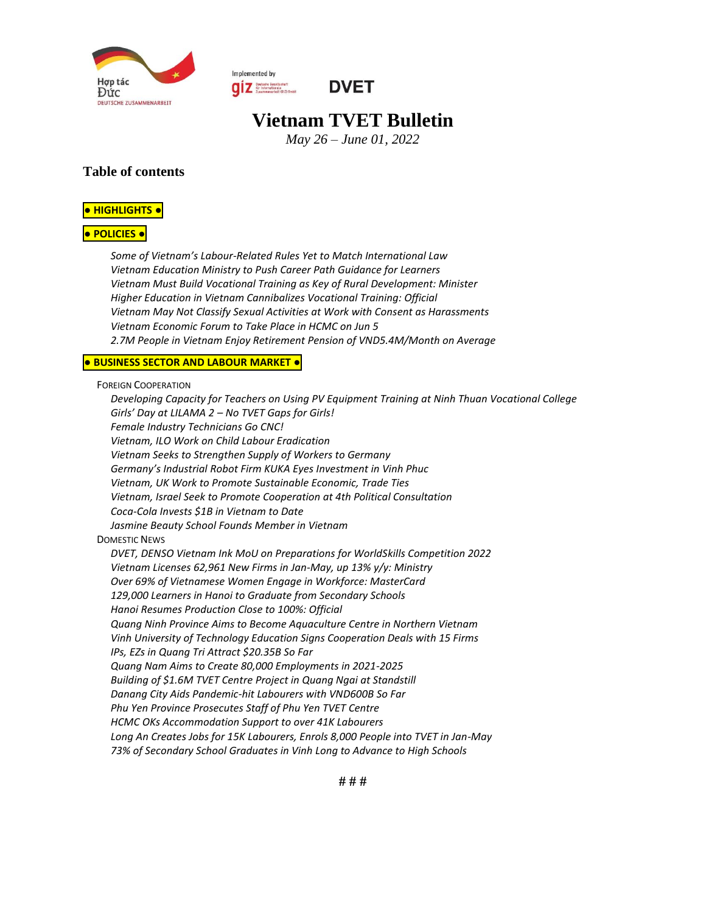

Implemented by **OUR** Deutsche Gesellschaft<br>
Zusammenarboit (GIZ) SmbH



# **Vietnam TVET Bulletin**

*May 26 – June 01, 2022*

#### **Table of contents**

#### **● [HIGHLIGHTS](#page-1-0) ●**

#### **● [POLICIES](#page-1-1) ●**

*Some of Vietnam's Labour[-Related Rules Yet to Match International Law](#page-1-2) [Vietnam Education Ministry to Push Career Path Guidance for Learners](#page-1-3) Vietnam Must Build [Vocational Training as Key of Rural Development: Minister](#page-1-4) [Higher Education in Vietnam Cannibalizes Vocational Training: Official](#page-2-0) [Vietnam May Not Classify Sexual Activities at Work with Consent as Harassments](#page-2-1) [Vietnam Economic Forum to Take Place in HCMC on Jun 5](#page-2-2) [2.7M People in Vietnam Enjoy Retirement Pension of VND5.4M/Month on Average](#page-3-0)*

#### **● [BUSINESS](#page-3-1) SECTOR AND LABOUR MARKET ●**

FOREIGN C[OOPERATION](#page-3-2)

*[Developing Capacity for Teachers on Using PV Equipment Training at Ninh Thuan Vocational College](#page-3-3) Girls' Day at LILAMA 2 – [No TVET Gaps for Girls!](#page-3-4) [Female Industry Technicians Go CNC!](#page-4-0) [Vietnam, ILO Work on Child Labour Eradication](#page-5-0) [Vietnam Seeks to Strengthen Supply of Workers to Germany](#page-5-1) [Germany's Industrial Robot Firm KUKA Eyes Investment in Vinh Phuc](#page-5-2) [Vietnam, UK Work to Promote Sustainable Economic, Trade Ties](#page-6-0) [Vietnam, Israel Seek to Promote Cooperation at 4th Political Consultation](#page-6-1) [Coca-Cola Invests \\$1B in Vietnam to Date](#page-6-2) [Jasmine Beauty School Founds Member in Vietnam](#page-6-3)* D[OMESTIC](#page-6-4) NEWS *[DVET, DENSO Vietnam Ink MoU on Preparations for WorldSkills Competition 2022](#page-6-5) [Vietnam Licenses 62,961 New Firms in Jan-May, up 13% y/y: Ministry](#page-7-0) [Over 69% of Vietnamese Women Engage in Workforce: MasterCard](#page-7-1) [129,000 Learners in Hanoi to Graduate from Secondary Schools](#page-7-2) [Hanoi Resumes Production Close to 100%: Official](#page-7-3) [Quang Ninh Province Aims to Become Aquaculture Centre in Northern Vietnam](#page-7-4) [Vinh University of Technology Education Signs Cooperation Deals with 15 Firms](#page-8-0) [IPs, EZs in Quang Tri Attract \\$20.35B So Far](#page-8-1) [Quang Nam Aims to Create 80,000 Employments in 2021-2025](#page-8-2) [Building of \\$1.6M TVET Centre Project in Quang Ngai at Standstill](#page-8-3) [Danang City Aids Pandemic-hit Labourers with VND600B So Far](#page-8-4) [Phu Yen Province Prosecutes Staff of Phu Yen TVET Centre](#page-8-5) [HCMC OKs Accommodation Support to over 41K Labourers](#page-8-6) [Long An Creates Jobs for 15K Labourers, Enrols 8,000 People into TVET in Jan-May](#page-9-0) [73% of Secondary School Graduates in Vinh Long to Advance to High Schools](#page-9-1)*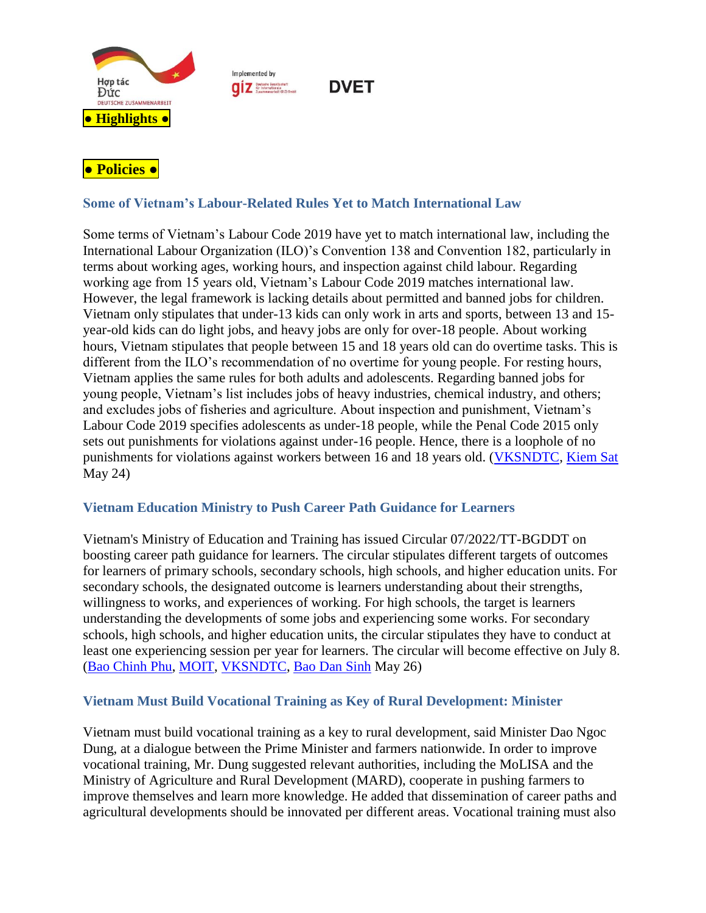

Implemented by **QIZ** Deutsche Gesellschaft

**DVET** 

# <span id="page-1-1"></span><span id="page-1-0"></span>**● Policies ●**

# <span id="page-1-2"></span>**Some of Vietnam's Labour-Related Rules Yet to Match International Law**

Some terms of Vietnam's Labour Code 2019 have yet to match international law, including the International Labour Organization (ILO)'s Convention 138 and Convention 182, particularly in terms about working ages, working hours, and inspection against child labour. Regarding working age from 15 years old, Vietnam's Labour Code 2019 matches international law. However, the legal framework is lacking details about permitted and banned jobs for children. Vietnam only stipulates that under-13 kids can only work in arts and sports, between 13 and 15 year-old kids can do light jobs, and heavy jobs are only for over-18 people. About working hours, Vietnam stipulates that people between 15 and 18 years old can do overtime tasks. This is different from the ILO's recommendation of no overtime for young people. For resting hours, Vietnam applies the same rules for both adults and adolescents. Regarding banned jobs for young people, Vietnam's list includes jobs of heavy industries, chemical industry, and others; and excludes jobs of fisheries and agriculture. About inspection and punishment, Vietnam's Labour Code 2019 specifies adolescents as under-18 people, while the Penal Code 2015 only sets out punishments for violations against under-16 people. Hence, there is a loophole of no punishments for violations against workers between 16 and 18 years old. [\(VKSNDTC,](https://www.vksndtc.gov.vn/tin-tuc/cong-tac-kiem-sat/hoan-thien-phap-luat-ve-su-dung-lao-dong-tre-em-o--d10-t10259.html) [Kiem Sat](https://kiemsat.vn/hoan-thien-phap-luat-ve-su-dung-lao-dong-tre-em-o-viet-nam-63521.html#related) May 24)

#### <span id="page-1-3"></span>**Vietnam Education Ministry to Push Career Path Guidance for Learners**

Vietnam's Ministry of Education and Training has issued Circular 07/2022/TT-BGDDT on boosting career path guidance for learners. The circular stipulates different targets of outcomes for learners of primary schools, secondary schools, high schools, and higher education units. For secondary schools, the designated outcome is learners understanding about their strengths, willingness to works, and experiences of working. For high schools, the target is learners understanding the developments of some jobs and experiencing some works. For secondary schools, high schools, and higher education units, the circular stipulates they have to conduct at least one experiencing session per year for learners. The circular will become effective on July 8. [\(Bao Chinh Phu,](https://baochinhphu.vn/tu-van-nghe-nghiep-viec-lam-va-ho-tro-khoi-nghiep-cho-hoc-sinh-sinh-vien-102220526142032134.htm) [MOIT,](https://moit.gov.vn/tin-tuc/phat-trien-nguon-nhan-luc/tu-van-nghe-nghiep-viec-lam-va-ho-tro-khoi-nghiep-cho-hoc-sinh-sinh-vien.html#related) [VKSNDTC,](https://vksndtc.gov.vn/tin-tong-hop/cong-tac-tu-van-nghe-nghiep-viec-lam-va-ho-tro-kho-d8-t10264.html#related) [Bao Dan Sinh](https://baodansinh.vn/tu-van-nghe-nghiep-viec-lam-va-ho-tro-khoi-nghiep-cho-hoc-sinh-sinh-vien-20220526203758.htm#related) May 26)

#### <span id="page-1-4"></span>**Vietnam Must Build Vocational Training as Key of Rural Development: Minister**

Vietnam must build vocational training as a key to rural development, said Minister Dao Ngoc Dung, at a dialogue between the Prime Minister and farmers nationwide. In order to improve vocational training, Mr. Dung suggested relevant authorities, including the MoLISA and the Ministry of Agriculture and Rural Development (MARD), cooperate in pushing farmers to improve themselves and learn more knowledge. He added that dissemination of career paths and agricultural developments should be innovated per different areas. Vocational training must also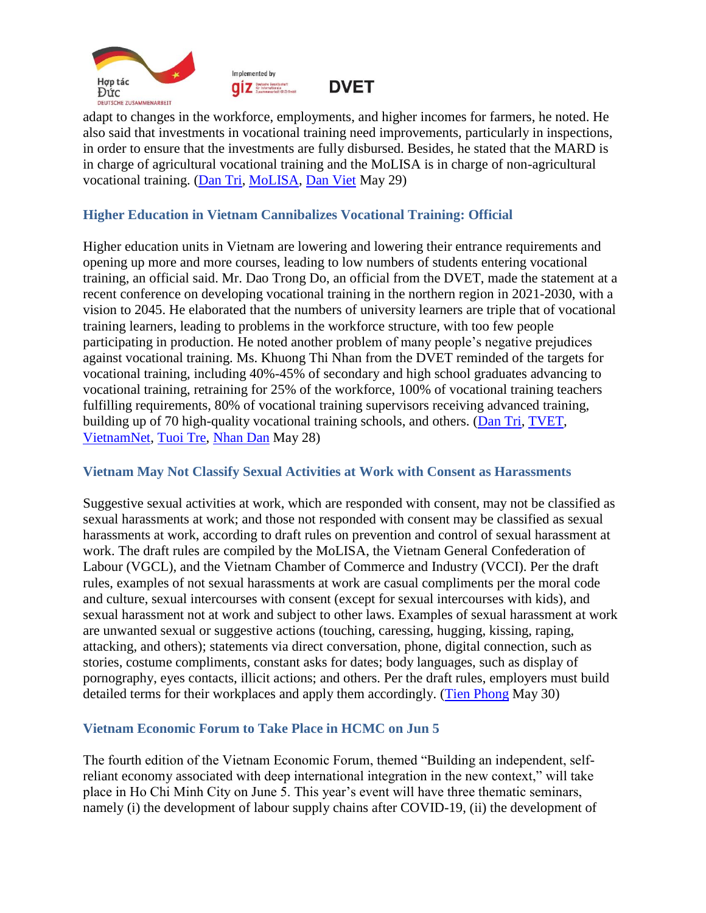



**DVET** 

adapt to changes in the workforce, employments, and higher incomes for farmers, he noted. He also said that investments in vocational training need improvements, particularly in inspections, in order to ensure that the investments are fully disbursed. Besides, he stated that the MARD is in charge of agricultural vocational training and the MoLISA is in charge of non-agricultural vocational training. [\(Dan Tri,](https://dantri.com.vn/lao-dong-viec-lam/dao-tao-nghe-la-khau-dot-pha-trong-xay-dung-nong-thon-hien-dai-20220529123025343.htm) [MoLISA,](http://www.molisa.gov.vn/Pages/tintuc/chitiet.aspx?tintucID=231418#related) [Dan Viet](https://danviet.vn/dao-tao-nghe-cho-lao-dong-nong-thon-phai-duoc-xem-la-cot-loi-20220529170916944.htm#related) May 29)

#### <span id="page-2-0"></span>**Higher Education in Vietnam Cannibalizes Vocational Training: Official**

Higher education units in Vietnam are lowering and lowering their entrance requirements and opening up more and more courses, leading to low numbers of students entering vocational training, an official said. Mr. Dao Trong Do, an official from the DVET, made the statement at a recent conference on developing vocational training in the northern region in 2021-2030, with a vision to 2045. He elaborated that the numbers of university learners are triple that of vocational training learners, leading to problems in the workforce structure, with too few people participating in production. He noted another problem of many people's negative prejudices against vocational training. Ms. Khuong Thi Nhan from the DVET reminded of the targets for vocational training, including 40%-45% of secondary and high school graduates advancing to vocational training, retraining for 25% of the workforce, 100% of vocational training teachers fulfilling requirements, 80% of vocational training supervisors receiving advanced training, building up of 70 high-quality vocational training schools, and others. [\(Dan Tri,](https://dantri.com.vn/giao-duc-huong-nghiep/trien-khai-chien-luoc-phat-trien-giao-duc-nghe-nghiep-2021-2030-20220527110924914.htm) [TVET,](http://gdnn.gov.vn/AIAdmin/News/View/tabid/66/newsid/39253/seo/Trien-khai-chien-luoc-phat-trien-giao-duc-nghe-nghiep-2021-2030/Default.aspx#related) [VietnamNet,](https://vietnamnet.vn/nhieu-chi-so-ve-nhan-luc-cua-viet-nam-chi-xep-tren-campuchia-2024101.html#related) [Tuoi Tre,](https://tuoitre.vn/nang-suat-lao-dong-viet-nam-khong-bang-1-10-cua-singapore-20220527160321921.htm#related) [Nhan Dan](https://nhandan.vn/tin-tuc-giao-duc/trien-khai-chien-luoc-phat-trien-giao-duc-nghe-nghiep--699040/#related) May 28)

#### <span id="page-2-1"></span>**Vietnam May Not Classify Sexual Activities at Work with Consent as Harassments**

Suggestive sexual activities at work, which are responded with consent, may not be classified as sexual harassments at work; and those not responded with consent may be classified as sexual harassments at work, according to draft rules on prevention and control of sexual harassment at work. The draft rules are compiled by the MoLISA, the Vietnam General Confederation of Labour (VGCL), and the Vietnam Chamber of Commerce and Industry (VCCI). Per the draft rules, examples of not sexual harassments at work are casual compliments per the moral code and culture, sexual intercourses with consent (except for sexual intercourses with kids), and sexual harassment not at work and subject to other laws. Examples of sexual harassment at work are unwanted sexual or suggestive actions (touching, caressing, hugging, kissing, raping, attacking, and others); statements via direct conversation, phone, digital connection, such as stories, costume compliments, constant asks for dates; body languages, such as display of pornography, eyes contacts, illicit actions; and others. Per the draft rules, employers must build detailed terms for their workplaces and apply them accordingly. [\(Tien Phong](https://tienphong.vn/hanh-vi-duoc-doi-phuong-dap-lai-khong-xep-vao-quay-roi-tinh-duc-noi-lam-viec-post1442189.tpo) May 30)

## <span id="page-2-2"></span>**Vietnam Economic Forum to Take Place in HCMC on Jun 5**

The fourth edition of the Vietnam Economic Forum, themed "Building an independent, selfreliant economy associated with deep international integration in the new context," will take place in Ho Chi Minh City on June 5. This year's event will have three thematic seminars, namely (i) the development of labour supply chains after COVID-19, (ii) the development of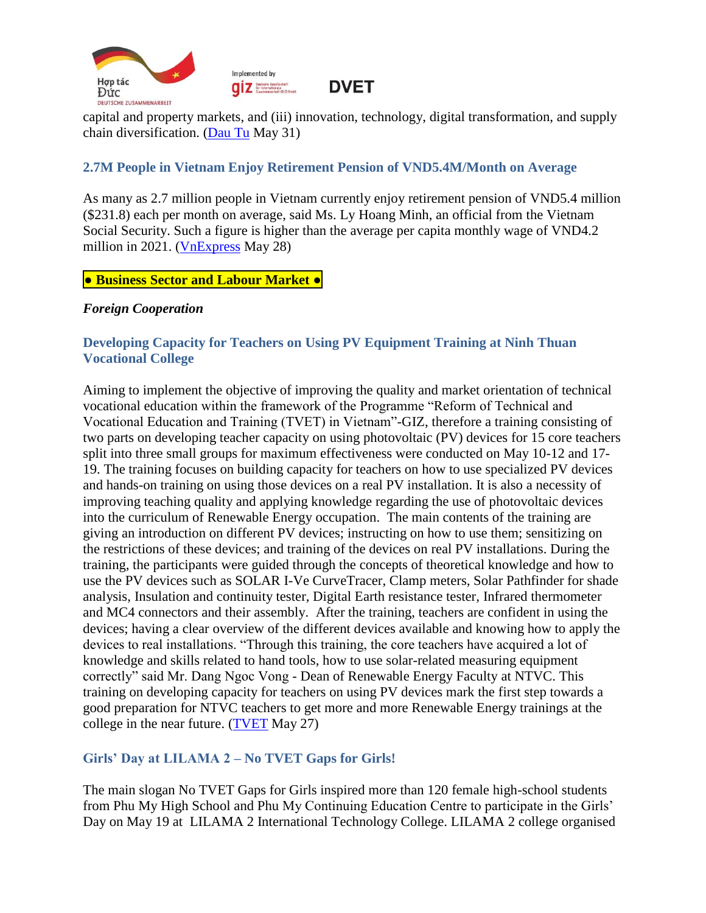

capital and property markets, and (iii) innovation, technology, digital transformation, and supply chain diversification. [\(Dau Tu](https://baodautu.vn/ban-kinh-te-trung-uong-to-chuc-dien-dan-kinh-te-viet-nam-lan-thu-tu-dien-ra-tai-tphcm-d166899.html) May 31)

#### <span id="page-3-0"></span>**2.7M People in Vietnam Enjoy Retirement Pension of VND5.4M/Month on Average**

As many as 2.7 million people in Vietnam currently enjoy retirement pension of VND5.4 million (\$231.8) each per month on average, said Ms. Ly Hoang Minh, an official from the Vietnam Social Security. Such a figure is higher than the average per capita monthly wage of VND4.2 million in 2021. [\(VnExpress](https://vnexpress.net/luong-huu-binh-quan-5-4-trieu-dong-moi-thang-4469164.html) May 28)

#### <span id="page-3-1"></span>**● Business Sector and Labour Market ●**

#### <span id="page-3-2"></span>*Foreign Cooperation*

#### <span id="page-3-3"></span>**Developing Capacity for Teachers on Using PV Equipment Training at Ninh Thuan Vocational College**

Aiming to implement the objective of improving the quality and market orientation of technical vocational education within the framework of the Programme "Reform of Technical and Vocational Education and Training (TVET) in Vietnam"-GIZ, therefore a training consisting of two parts on developing teacher capacity on using photovoltaic (PV) devices for 15 core teachers split into three small groups for maximum effectiveness were conducted on May 10-12 and 17- 19. The training focuses on building capacity for teachers on how to use specialized PV devices and hands-on training on using those devices on a real PV installation. It is also a necessity of improving teaching quality and applying knowledge regarding the use of photovoltaic devices into the curriculum of Renewable Energy occupation. The main contents of the training are giving an introduction on different PV devices; instructing on how to use them; sensitizing on the restrictions of these devices; and training of the devices on real PV installations. During the training, the participants were guided through the concepts of theoretical knowledge and how to use the PV devices such as SOLAR I-Ve CurveTracer, Clamp meters, Solar Pathfinder for shade analysis, Insulation and continuity tester, Digital Earth resistance tester, Infrared thermometer and MC4 connectors and their assembly. After the training, teachers are confident in using the devices; having a clear overview of the different devices available and knowing how to apply the devices to real installations. "Through this training, the core teachers have acquired a lot of knowledge and skills related to hand tools, how to use solar-related measuring equipment correctly" said Mr. Dang Ngoc Vong - Dean of Renewable Energy Faculty at NTVC. This training on developing capacity for teachers on using PV devices mark the first step towards a good preparation for NTVC teachers to get more and more Renewable Energy trainings at the college in the near future. [\(TVET](https://www.tvet-vietnam.org/archives/news/kick-off-meeting-on-establishment-of-industry-advisory-board-iab-for-mechatronics-at-ninh-thuan-vocational-college-ntvc-2) May 27)

#### <span id="page-3-4"></span>**Girls' Day at LILAMA 2 – No TVET Gaps for Girls!**

The main slogan No TVET Gaps for Girls inspired more than 120 female high-school students from Phu My High School and Phu My Continuing Education Centre to participate in the Girls' Day on May 19 at LILAMA 2 International Technology College. LILAMA 2 college organised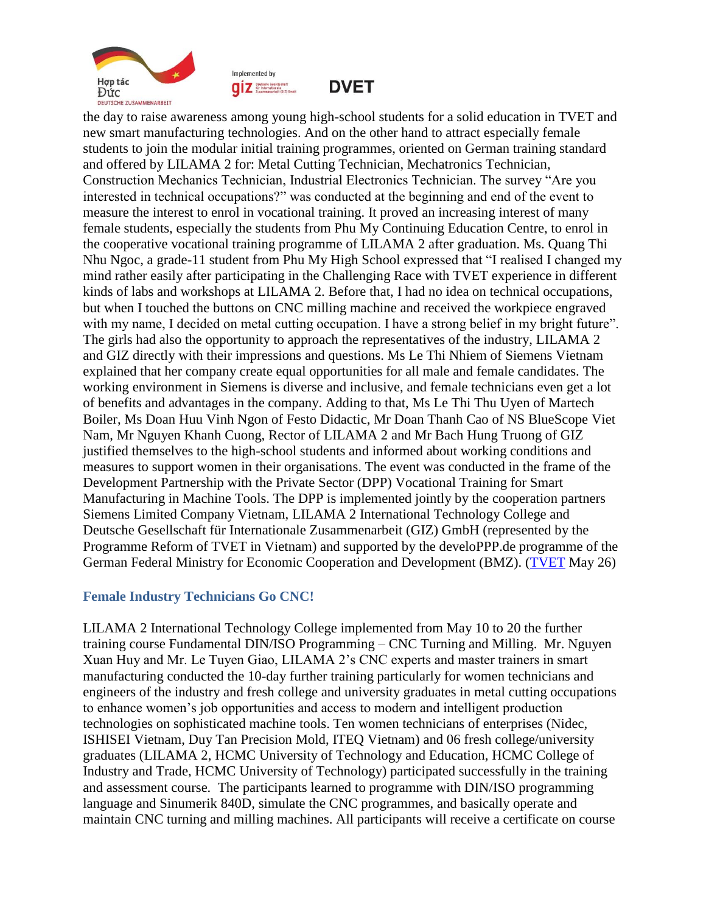





the day to raise awareness among young high-school students for a solid education in TVET and new smart manufacturing technologies. And on the other hand to attract especially female students to join the modular initial training programmes, oriented on German training standard and offered by LILAMA 2 for: Metal Cutting Technician, Mechatronics Technician, Construction Mechanics Technician, Industrial Electronics Technician. The survey "Are you interested in technical occupations?" was conducted at the beginning and end of the event to measure the interest to enrol in vocational training. It proved an increasing interest of many female students, especially the students from Phu My Continuing Education Centre, to enrol in the cooperative vocational training programme of LILAMA 2 after graduation. Ms. Quang Thi Nhu Ngoc, a grade-11 student from Phu My High School expressed that "I realised I changed my mind rather easily after participating in the Challenging Race with TVET experience in different kinds of labs and workshops at LILAMA 2. Before that, I had no idea on technical occupations, but when I touched the buttons on CNC milling machine and received the workpiece engraved with my name, I decided on metal cutting occupation. I have a strong belief in my bright future". The girls had also the opportunity to approach the representatives of the industry, LILAMA 2 and GIZ directly with their impressions and questions. Ms Le Thi Nhiem of Siemens Vietnam explained that her company create equal opportunities for all male and female candidates. The working environment in Siemens is diverse and inclusive, and female technicians even get a lot of benefits and advantages in the company. Adding to that, Ms Le Thi Thu Uyen of Martech Boiler, Ms Doan Huu Vinh Ngon of Festo Didactic, Mr Doan Thanh Cao of NS BlueScope Viet Nam, Mr Nguyen Khanh Cuong, Rector of LILAMA 2 and Mr Bach Hung Truong of GIZ justified themselves to the high-school students and informed about working conditions and measures to support women in their organisations. The event was conducted in the frame of the Development Partnership with the Private Sector (DPP) Vocational Training for Smart Manufacturing in Machine Tools. The DPP is implemented jointly by the cooperation partners Siemens Limited Company Vietnam, LILAMA 2 International Technology College and Deutsche Gesellschaft für Internationale Zusammenarbeit (GIZ) GmbH (represented by the Programme Reform of TVET in Vietnam) and supported by the develoPPP.de programme of the German Federal Ministry for Economic Cooperation and Development (BMZ). [\(TVET](https://www.tvet-vietnam.org/archives/news/girls-day-at-lilama-2-no-tvet-gaps-for-girls) May 26)

#### <span id="page-4-0"></span>**Female Industry Technicians Go CNC!**

LILAMA 2 International Technology College implemented from May 10 to 20 the further training course Fundamental DIN/ISO Programming – CNC Turning and Milling. Mr. Nguyen Xuan Huy and Mr. Le Tuyen Giao, LILAMA 2's CNC experts and master trainers in smart manufacturing conducted the 10-day further training particularly for women technicians and engineers of the industry and fresh college and university graduates in metal cutting occupations to enhance women's job opportunities and access to modern and intelligent production technologies on sophisticated machine tools. Ten women technicians of enterprises (Nidec, ISHISEI Vietnam, Duy Tan Precision Mold, ITEQ Vietnam) and 06 fresh college/university graduates (LILAMA 2, HCMC University of Technology and Education, HCMC College of Industry and Trade, HCMC University of Technology) participated successfully in the training and assessment course. The participants learned to programme with DIN/ISO programming language and Sinumerik 840D, simulate the CNC programmes, and basically operate and maintain CNC turning and milling machines. All participants will receive a certificate on course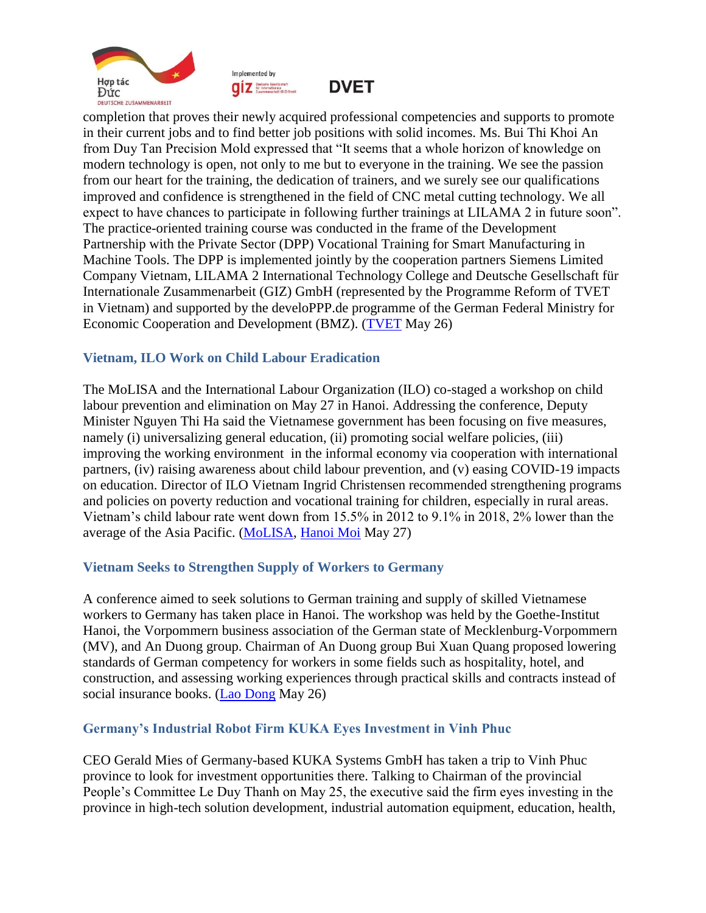





completion that proves their newly acquired professional competencies and supports to promote in their current jobs and to find better job positions with solid incomes. Ms. Bui Thi Khoi An from Duy Tan Precision Mold expressed that "It seems that a whole horizon of knowledge on modern technology is open, not only to me but to everyone in the training. We see the passion from our heart for the training, the dedication of trainers, and we surely see our qualifications improved and confidence is strengthened in the field of CNC metal cutting technology. We all expect to have chances to participate in following further trainings at LILAMA 2 in future soon". The practice-oriented training course was conducted in the frame of the Development Partnership with the Private Sector (DPP) Vocational Training for Smart Manufacturing in Machine Tools. The DPP is implemented jointly by the cooperation partners Siemens Limited Company Vietnam, LILAMA 2 International Technology College and Deutsche Gesellschaft für Internationale Zusammenarbeit (GIZ) GmbH (represented by the Programme Reform of TVET in Vietnam) and supported by the develoPPP.de programme of the German Federal Ministry for Economic Cooperation and Development (BMZ). [\(TVET](https://www.tvet-vietnam.org/archives/news/female-industry-technicians-go-cnc) May 26)

#### <span id="page-5-0"></span>**Vietnam, ILO Work on Child Labour Eradication**

The MoLISA and the International Labour Organization (ILO) co-staged a workshop on child labour prevention and elimination on May 27 in Hanoi. Addressing the conference, Deputy Minister Nguyen Thi Ha said the Vietnamese government has been focusing on five measures, namely (i) universalizing general education, (ii) promoting social welfare policies, (iii) improving the working environment in the informal economy via cooperation with international partners, (iv) raising awareness about child labour prevention, and (v) easing COVID-19 impacts on education. Director of ILO Vietnam Ingrid Christensen recommended strengthening programs and policies on poverty reduction and vocational training for children, especially in rural areas. Vietnam's child labour rate went down from 15.5% in 2012 to 9.1% in 2018, 2% lower than the average of the Asia Pacific. [\(MoLISA,](http://www.molisa.gov.vn/Pages/tintuc/chitiet.aspx?tintucID=231413) [Hanoi Moi](http://www.hanoimoi.com.vn/tin-tuc/Xa-hoi/1033104/tang-cuong-phong-ngua-tien-toi-xoa-bo-lao-dong-tre-em#related) May 27)

#### <span id="page-5-1"></span>**Vietnam Seeks to Strengthen Supply of Workers to Germany**

A conference aimed to seek solutions to German training and supply of skilled Vietnamese workers to Germany has taken place in Hanoi. The workshop was held by the Goethe-Institut Hanoi, the Vorpommern business association of the German state of Mecklenburg-Vorpommern (MV), and An Duong group. Chairman of An Duong group Bui Xuan Quang proposed lowering standards of German competency for workers in some fields such as hospitality, hotel, and construction, and assessing working experiences through practical skills and contracts instead of social insurance books. [\(Lao Dong](https://laodongtre.laodong.vn/hoc-nghe/thuc-day-hop-tac-viet-nam--chlb-duc-trong-linh-vuc-nhan-luc-1049257.ldo) May 26)

#### <span id="page-5-2"></span>**Germany's Industrial Robot Firm KUKA Eyes Investment in Vinh Phuc**

CEO Gerald Mies of Germany-based KUKA Systems GmbH has taken a trip to Vinh Phuc province to look for investment opportunities there. Talking to Chairman of the provincial People's Committee Le Duy Thanh on May 25, the executive said the firm eyes investing in the province in high-tech solution development, industrial automation equipment, education, health,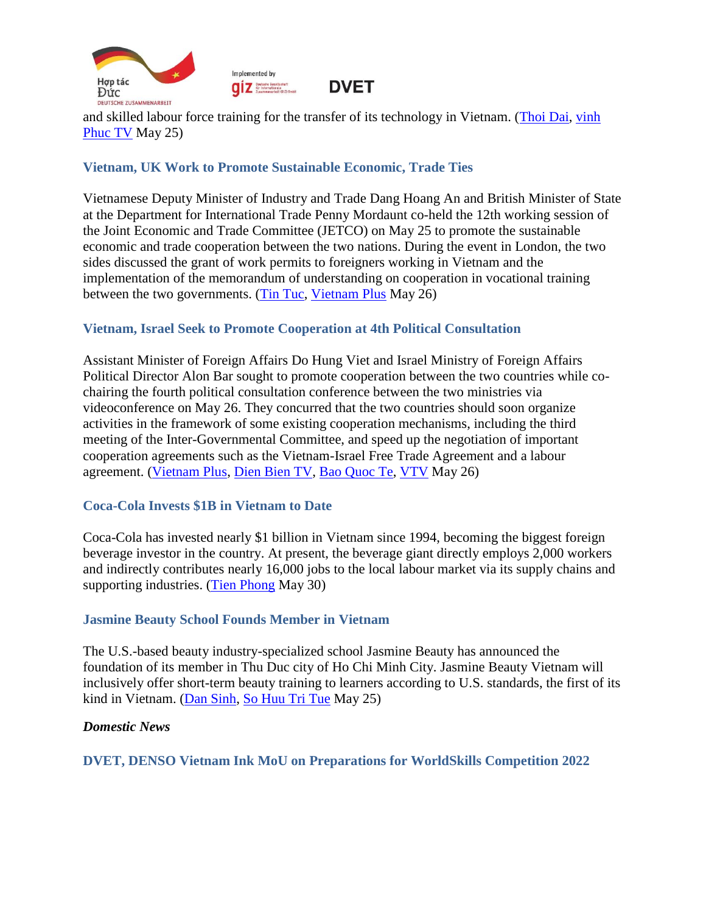



and skilled labour force training for the transfer of its technology in Vietnam. [\(Thoi Dai,](https://thoidai.com.vn/tap-doan-kuka-systems-gmbh-tim-hieu-moi-truong-dau-tu-tai-tinh-vinh-phuc-169127.html) [vinh](http://vinhphuctv.vn/Tin-t%E1%BB%A9c-chung/ID/322058/Ch%E1%BB%A7%20t%E1%BB%8Bch%20UBND%20t%E1%BB%89nh%20L%C3%AA%20Duy%20Th%C3%A0nh%20ti%E1%BA%BFp%20T%E1%BA%ADp%20%C4%91o%C3%A0n%20c%C3%B4ng%20ngh%E1%BB%87%20cao%20c%E1%BB%A7a%20%C4%90%E1%BB%A9c#related) [Phuc](http://vinhphuctv.vn/Tin-t%E1%BB%A9c-chung/ID/322058/Ch%E1%BB%A7%20t%E1%BB%8Bch%20UBND%20t%E1%BB%89nh%20L%C3%AA%20Duy%20Th%C3%A0nh%20ti%E1%BA%BFp%20T%E1%BA%ADp%20%C4%91o%C3%A0n%20c%C3%B4ng%20ngh%E1%BB%87%20cao%20c%E1%BB%A7a%20%C4%90%E1%BB%A9c#related) TV May 25)

## <span id="page-6-0"></span>**Vietnam, UK Work to Promote Sustainable Economic, Trade Ties**

Vietnamese Deputy Minister of Industry and Trade Dang Hoang An and British Minister of State at the Department for International Trade Penny Mordaunt co-held the 12th working session of the Joint Economic and Trade Committee (JETCO) on May 25 to promote the sustainable economic and trade cooperation between the two nations. During the event in London, the two sides discussed the grant of work permits to foreigners working in Vietnam and the implementation of the memorandum of understanding on cooperation in vocational training between the two governments. [\(Tin Tuc,](https://baotintuc.vn/thoi-su/hop-tac-kinh-te-thuong-mai-viet-namanh-phat-trien-ben-vung-20220526064625696.htm) [Vietnam Plus](https://www.vietnamplus.vn/hop-tac-kinh-te-thuong-mai-viet-namanh-phat-trien-ben-vung/792506.vnp#related) May 26)

#### <span id="page-6-1"></span>**Vietnam, Israel Seek to Promote Cooperation at 4th Political Consultation**

Assistant Minister of Foreign Affairs Do Hung Viet and Israel Ministry of Foreign Affairs Political Director Alon Bar sought to promote cooperation between the two countries while cochairing the fourth political consultation conference between the two ministries via videoconference on May 26. They concurred that the two countries should soon organize activities in the framework of some existing cooperation mechanisms, including the third meeting of the Inter-Governmental Committee, and speed up the negotiation of important cooperation agreements such as the Vietnam-Israel Free Trade Agreement and a labour agreement. [\(Vietnam Plus,](https://www.vietnamplus.vn/viet-nam-mong-muon-phat-trien-quan-he-hop-tac-nhieu-mat-voi-israel/792654.vnp) [Dien](https://dienbientv.vn/tin-tuc-su-kien/chinh-tri/202205/viet-nam-va-israel-nghien-cuu-mo-duong-bay-thang-5778019/#related) Bien TV, [Bao Quoc Te,](https://baoquocte.vn/viet-nam-israel-thuc-day-dam-phan-cac-hiep-dinh-hop-tac-nghien-cuu-mo-duong-bay-thang-185084.html#related) [VTV](https://vtv.vn/chinh-tri/viet-nam-va-israel-nghien-cuu-mo-duong-bay-thang-20220527005300618.htm#related) May 26)

#### <span id="page-6-2"></span>**Coca-Cola Invests \$1B in Vietnam to Date**

Coca-Cola has invested nearly \$1 billion in Vietnam since 1994, becoming the biggest foreign beverage investor in the country. At present, the beverage giant directly employs 2,000 workers and indirectly contributes nearly 16,000 jobs to the local labour market via its supply chains and supporting industries. [\(Tien Phong](https://tienphong.vn/coca-cola-va-hanh-trinh-hon-28-nam-tao-dau-an-ben-vung-tai-viet-nam-post1442325.tpo) May 30)

#### <span id="page-6-3"></span>**Jasmine Beauty School Founds Member in Vietnam**

The U.S.-based beauty industry-specialized school Jasmine Beauty has announced the foundation of its member in Thu Duc city of Ho Chi Minh City. Jasmine Beauty Vietnam will inclusively offer short-term beauty training to learners according to U.S. standards, the first of its kind in Vietnam. [\(Dan Sinh,](https://baodansinh.vn/dao-tao-nghe-lam-dep-ngan-han-chuan-my-vao-viet-nam-20220525110120.htm) [So Huu Tri Tue](https://sohuutritue.net.vn/cong-bo-quyet-dinh-thanh-lap-truong-dao-tao-nghe-tham-my-jasmine-beauty-viet-nam-d142103.html) May 25)

#### <span id="page-6-4"></span>*Domestic News*

<span id="page-6-5"></span>**DVET, DENSO Vietnam Ink MoU on Preparations for WorldSkills Competition 2022**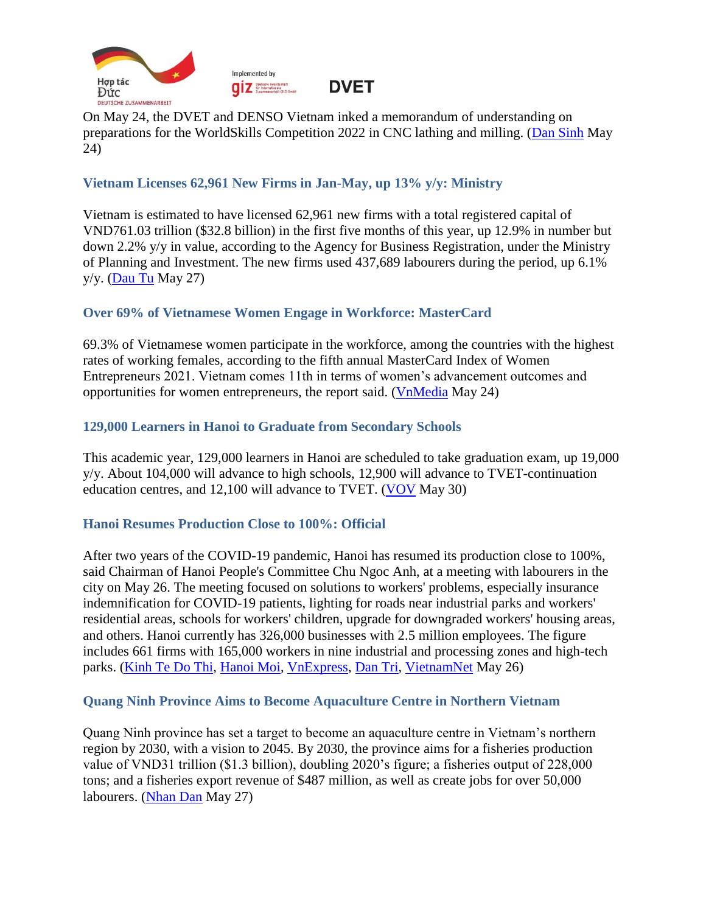



On May 24, the DVET and DENSO Vietnam inked a memorandum of understanding on preparations for the WorldSkills Competition 2022 in CNC lathing and milling. [\(Dan Sinh](https://baodansinh.vn/denso-viet-nam-tai-tro-2-nghe-tien-cnc-va-phay-cnc-tham-du-ky-thi-ky-nang-nghe-the-gioi-nam-2022-20220524145334.htm) May 24)

## <span id="page-7-0"></span>**Vietnam Licenses 62,961 New Firms in Jan-May, up 13% y/y: Ministry**

Vietnam is estimated to have licensed 62,961 new firms with a total registered capital of VND761.03 trillion (\$32.8 billion) in the first five months of this year, up 12.9% in number but down 2.2% y/y in value, according to the Agency for Business Registration, under the Ministry of Planning and Investment. The new firms used 437,689 labourers during the period, up 6.1% y/y. [\(Dau Tu](https://baodautu.vn/thang-52022-so-doanh-nghiep-gia-nhap-thi-truong-giu-da-tang-manh-d166692.html) May 27)

#### <span id="page-7-1"></span>**Over 69% of Vietnamese Women Engage in Workforce: MasterCard**

69.3% of Vietnamese women participate in the workforce, among the countries with the highest rates of working females, according to the fifth annual MasterCard Index of Women Entrepreneurs 2021. Vietnam comes 11th in terms of women's advancement outcomes and opportunities for women entrepreneurs, the report said. [\(VnMedia](https://vnmedia.vn/kinh-te/202205/phu-nu-viet-nam-nam-trong-top-nhung-quoc-gia-tham-gia-lao-dong-cao-nhat-the-gioi-9565c84/) May 24)

#### <span id="page-7-2"></span>**129,000 Learners in Hanoi to Graduate from Secondary Schools**

This academic year, 129,000 learners in Hanoi are scheduled to take graduation exam, up 19,000 y/y. About 104,000 will advance to high schools, 12,900 will advance to TVET-continuation education centres, and 12,100 will advance to TVET. [\(VOV](https://vov.vn/xa-hoi/giao-duc/ha-noi-cong-bo-ty-le-choi-vao-lop-10-thpt-nam-2022-post947055.vov) May 30)

#### <span id="page-7-3"></span>**Hanoi Resumes Production Close to 100%: Official**

After two years of the COVID-19 pandemic, Hanoi has resumed its production close to 100%, said Chairman of Hanoi People's Committee Chu Ngoc Anh, at a meeting with labourers in the city on May 26. The meeting focused on solutions to workers' problems, especially insurance indemnification for COVID-19 patients, lighting for roads near industrial parks and workers' residential areas, schools for workers' children, upgrade for downgraded workers' housing areas, and others. Hanoi currently has 326,000 businesses with 2.5 million employees. The figure includes 661 firms with 165,000 workers in nine industrial and processing zones and high-tech parks. [\(Kinh Te Do Thi,](https://kinhtedothi.vn/chu-tich-ubnd-tp-ha-noi-doi-thoai-voi-cong-nhan-lao-dong-thu-do.html) [Hanoi Moi,](http://hanoimoi.com.vn/tin-tuc/Xa-hoi/1033016/chu-tich-ubnd-thanh-pho-ha-noi-doi-thoai-voi-hon-200-cong-nhan-lao-dong#related) [VnExpress,](https://vnexpress.net/cong-nhan-chat-van-ong-chu-ngoc-anh-ve-chinh-sach-ho-tro-trong-dai-dich-4468359.html#related) [Dan Tri,](https://dantri.com.vn/an-sinh/ha-noi-cong-nhan-than-kho-chu-tich-chu-ngoc-anh-hua-tang-toc-giai-quyet-20220526215252051.htm#related) [VietnamNet](https://vietnamnet.vn/gap-ong-chu-ngoc-anh-cong-nhan-hoi-ve-chinh-sach-ho-tro-trong-dai-dich-2023715.html#related) May 26)

#### <span id="page-7-4"></span>**Quang Ninh Province Aims to Become Aquaculture Centre in Northern Vietnam**

Quang Ninh province has set a target to become an aquaculture centre in Vietnam's northern region by 2030, with a vision to 2045. By 2030, the province aims for a fisheries production value of VND31 trillion (\$1.3 billion), doubling 2020's figure; a fisheries output of 228,000 tons; and a fisheries export revenue of \$487 million, as well as create jobs for over 50,000 labourers. [\(Nhan Dan](https://nhandan.vn/tin-tuc-kinh-te/phan-dau-tro-thanh-trung-tam-nuoi-trong-thuy-san-cua-mien-bac-698904/) May 27)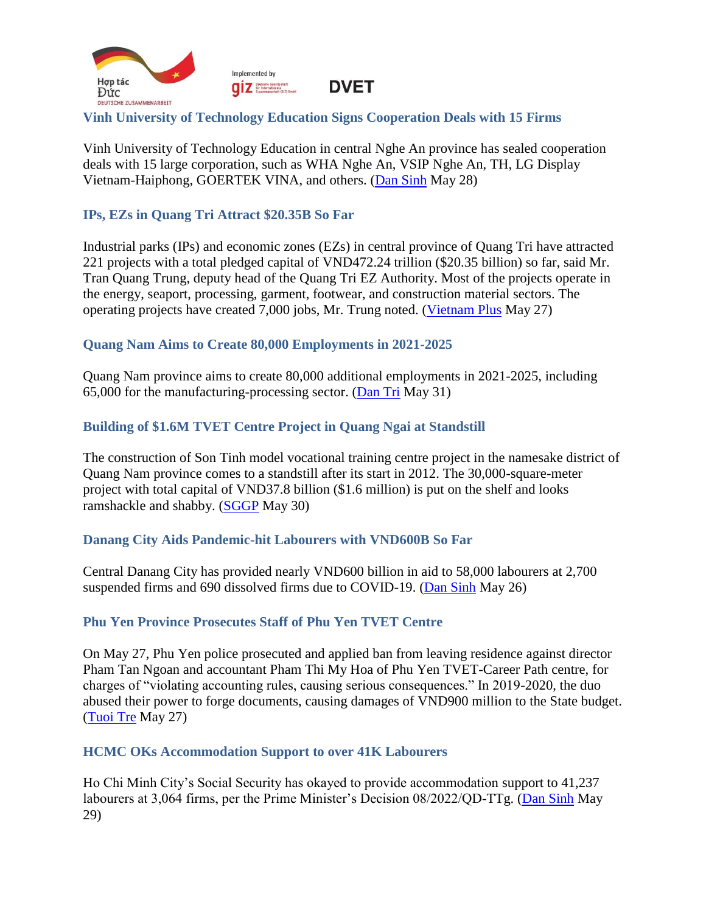

## <span id="page-8-0"></span>**Vinh University of Technology Education Signs Cooperation Deals with 15 Firms**

Vinh University of Technology Education in central Nghe An province has sealed cooperation deals with 15 large corporation, such as WHA Nghe An, VSIP Nghe An, TH, LG Display Vietnam-Haiphong, GOERTEK VINA, and others. [\(Dan Sinh](https://baodansinh.vn/truong-dai-hoc-su-pham-ky-thuat-vinh-ky-hop-tac-dao-tao-voi-15-doanh-nghiep-lon-20220528162419.htm) May 28)

## <span id="page-8-1"></span>**IPs, EZs in Quang Tri Attract \$20.35B So Far**

Industrial parks (IPs) and economic zones (EZs) in central province of Quang Tri have attracted 221 projects with a total pledged capital of VND472.24 trillion (\$20.35 billion) so far, said Mr. Tran Quang Trung, deputy head of the Quang Tri EZ Authority. Most of the projects operate in the energy, seaport, processing, garment, footwear, and construction material sectors. The operating projects have created 7,000 jobs, Mr. Trung noted. [\(Vietnam Plus](https://www.vietnamplus.vn/khu-cong-nghiep-kinh-te-quang-tri-thu-hut-tren-470000-ty-dong/792811.vnp) May 27)

#### <span id="page-8-2"></span>**Quang Nam Aims to Create 80,000 Employments in 2021-2025**

Quang Nam province aims to create 80,000 additional employments in 2021-2025, including 65,000 for the manufacturing-processing sector. [\(Dan Tri](https://dantri.com.vn/lao-dong-viec-lam/5-nam-tao-them-viec-lam-cho-80000-lao-dong-20220530110359437.htm) May 31)

#### <span id="page-8-3"></span>**Building of \$1.6M TVET Centre Project in Quang Ngai at Standstill**

The construction of Son Tinh model vocational training centre project in the namesake district of Quang Nam province comes to a standstill after its start in 2012. The 30,000-square-meter project with total capital of VND37.8 billion (\$1.6 million) is put on the shelf and looks ramshackle and shabby. [\(SGGP](https://www.sggp.org.vn/trung-tam-day-nghe-kieu-mau-o-quang-ngai-xay-10-nam-chua-xong-817255.html) May 30)

#### <span id="page-8-4"></span>**Danang City Aids Pandemic-hit Labourers with VND600B So Far**

Central Danang City has provided nearly VND600 billion in aid to 58,000 labourers at 2,700 suspended firms and 690 dissolved firms due to COVID-19. [\(Dan Sinh](https://baodansinh.vn/da-nang-ho-tro-gan-600-ty-dong-cho-nguoi-lao-dong-bi-anh-huong-dich-covid-19-20220526141001.htm) May 26)

#### <span id="page-8-5"></span>**Phu Yen Province Prosecutes Staff of Phu Yen TVET Centre**

On May 27, Phu Yen police prosecuted and applied ban from leaving residence against director Pham Tan Ngoan and accountant Pham Thi My Hoa of Phu Yen TVET-Career Path centre, for charges of "violating accounting rules, causing serious consequences." In 2019-2020, the duo abused their power to forge documents, causing damages of VND900 million to the State budget. [\(Tuoi Tre](https://tuoitre.vn/khoi-to-giam-doc-trung-tam-giao-duc-nghe-nghiep-huong-nghiep-phu-yen-20220527110526131.htm) May 27)

#### <span id="page-8-6"></span>**HCMC OKs Accommodation Support to over 41K Labourers**

Ho Chi Minh City's Social Security has okayed to provide accommodation support to 41,237 labourers at 3,064 firms, per the Prime Minister's Decision 08/2022/QD-TTg. [\(Dan Sinh](https://baodansinh.vn/tphcm-xac-nhan-hon-41000-nguoi-lao-dong-duoc-nhan-ho-tro-tien-thue-nha-20220529081341.htm) May 29)